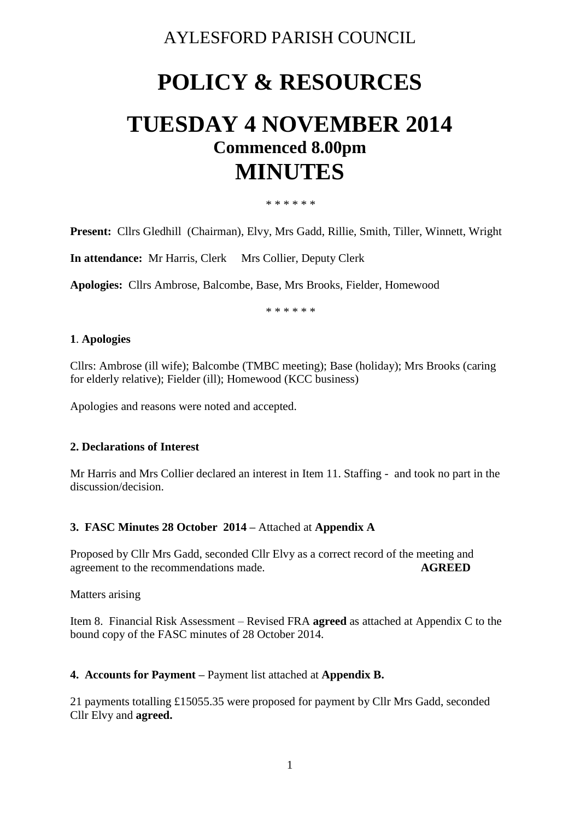### AYLESFORD PARISH COUNCIL

# **POLICY & RESOURCES**

## **TUESDAY 4 NOVEMBER 2014 Commenced 8.00pm MINUTES**

\* \* \* \* \* \*

**Present:** Cllrs Gledhill (Chairman), Elvy, Mrs Gadd, Rillie, Smith, Tiller, Winnett, Wright

**In attendance:** Mr Harris, Clerk Mrs Collier, Deputy Clerk

**Apologies:** Cllrs Ambrose, Balcombe, Base, Mrs Brooks, Fielder, Homewood

\* \* \* \* \* \*

#### **1**. **Apologies**

Cllrs: Ambrose (ill wife); Balcombe (TMBC meeting); Base (holiday); Mrs Brooks (caring for elderly relative); Fielder (ill); Homewood (KCC business)

Apologies and reasons were noted and accepted.

#### **2. Declarations of Interest**

Mr Harris and Mrs Collier declared an interest in Item 11. Staffing - and took no part in the discussion/decision.

#### **3. FASC Minutes 28 October 2014 –** Attached at **Appendix A**

Proposed by Cllr Mrs Gadd, seconded Cllr Elvy as a correct record of the meeting and agreement to the recommendations made. **AGREED**

Matters arising

Item 8. Financial Risk Assessment – Revised FRA **agreed** as attached at Appendix C to the bound copy of the FASC minutes of 28 October 2014.

#### **4. Accounts for Payment –** Payment list attached at **Appendix B.**

21 payments totalling £15055.35 were proposed for payment by Cllr Mrs Gadd, seconded Cllr Elvy and **agreed.**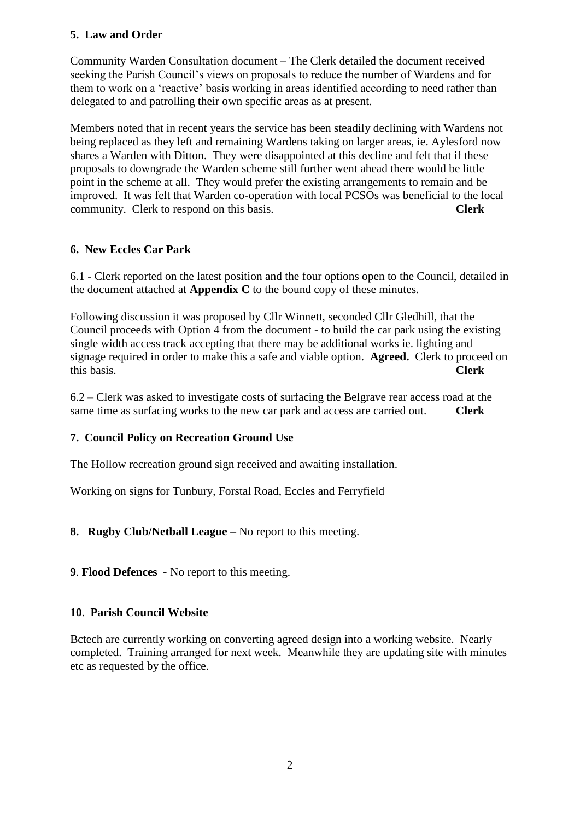#### **5. Law and Order**

Community Warden Consultation document – The Clerk detailed the document received seeking the Parish Council's views on proposals to reduce the number of Wardens and for them to work on a 'reactive' basis working in areas identified according to need rather than delegated to and patrolling their own specific areas as at present.

Members noted that in recent years the service has been steadily declining with Wardens not being replaced as they left and remaining Wardens taking on larger areas, ie. Aylesford now shares a Warden with Ditton. They were disappointed at this decline and felt that if these proposals to downgrade the Warden scheme still further went ahead there would be little point in the scheme at all. They would prefer the existing arrangements to remain and be improved. It was felt that Warden co-operation with local PCSOs was beneficial to the local community. Clerk to respond on this basis. **Clerk**

#### **6. New Eccles Car Park**

6.1 - Clerk reported on the latest position and the four options open to the Council, detailed in the document attached at **Appendix C** to the bound copy of these minutes.

Following discussion it was proposed by Cllr Winnett, seconded Cllr Gledhill, that the Council proceeds with Option 4 from the document - to build the car park using the existing single width access track accepting that there may be additional works ie. lighting and signage required in order to make this a safe and viable option. **Agreed.** Clerk to proceed on this basis. **Clerk**

6.2 – Clerk was asked to investigate costs of surfacing the Belgrave rear access road at the same time as surfacing works to the new car park and access are carried out. **Clerk**

#### **7. Council Policy on Recreation Ground Use**

The Hollow recreation ground sign received and awaiting installation.

Working on signs for Tunbury, Forstal Road, Eccles and Ferryfield

#### **8. Rugby Club/Netball League –** No report to this meeting.

**9**. **Flood Defences -** No report to this meeting.

#### **10**. **Parish Council Website**

Bctech are currently working on converting agreed design into a working website. Nearly completed. Training arranged for next week. Meanwhile they are updating site with minutes etc as requested by the office.